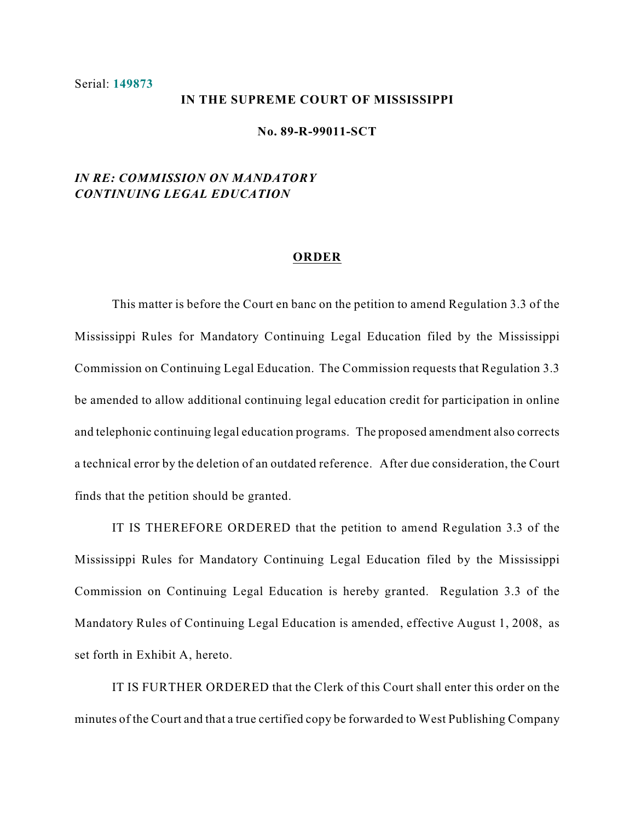#### Serial: **149873**

#### **IN THE SUPREME COURT OF MISSISSIPPI**

### **No. 89-R-99011-SCT**

# *IN RE: COMMISSION ON MANDATORY CONTINUING LEGAL EDUCATION*

### **ORDER**

This matter is before the Court en banc on the petition to amend Regulation 3.3 of the Mississippi Rules for Mandatory Continuing Legal Education filed by the Mississippi Commission on Continuing Legal Education. The Commission requests that Regulation 3.3 be amended to allow additional continuing legal education credit for participation in online and telephonic continuing legal education programs. The proposed amendment also corrects a technical error by the deletion of an outdated reference. After due consideration, the Court finds that the petition should be granted.

IT IS THEREFORE ORDERED that the petition to amend Regulation 3.3 of the Mississippi Rules for Mandatory Continuing Legal Education filed by the Mississippi Commission on Continuing Legal Education is hereby granted. Regulation 3.3 of the Mandatory Rules of Continuing Legal Education is amended, effective August 1, 2008, as set forth in Exhibit A, hereto.

IT IS FURTHER ORDERED that the Clerk of this Court shall enter this order on the minutes of the Court and that a true certified copy be forwarded to West Publishing Company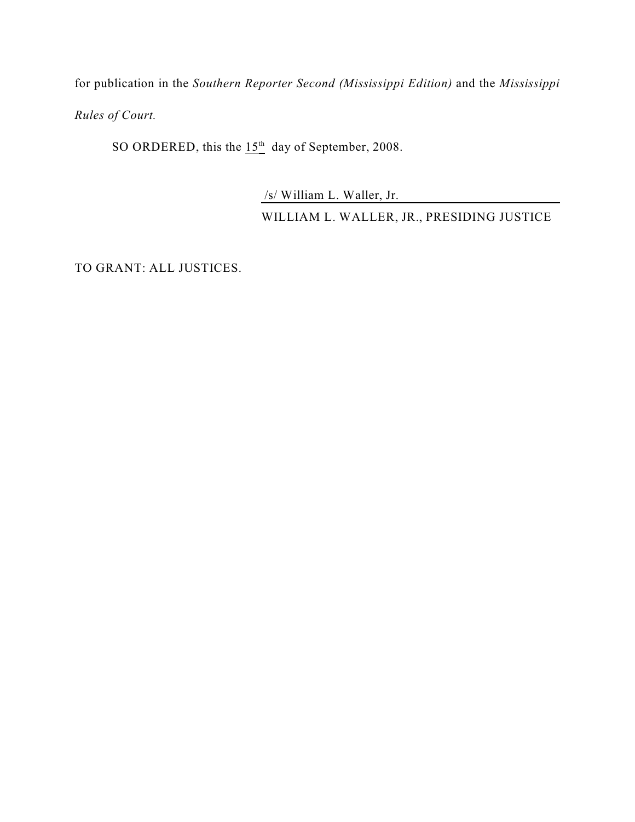for publication in the *Southern Reporter Second (Mississippi Edition)* and the *Mississippi Rules of Court.* 

SO ORDERED, this the  $15<sup>th</sup>$  day of September, 2008.

/s/ William L. Waller, Jr.

WILLIAM L. WALLER, JR., PRESIDING JUSTICE

TO GRANT: ALL JUSTICES.